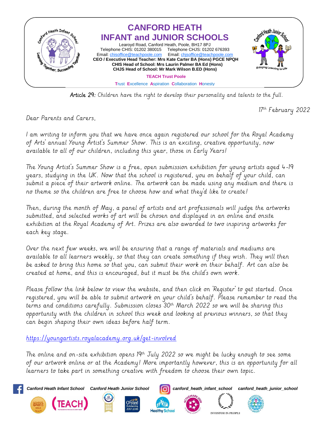

Article 29: Children have the right to develop their personality and talents to the full.

17<sup>th</sup> February 2022

Dear Parents and Carers,

I am writing to inform you that we have once again registered our school for the Royal Academy of Arts' annual Young Artist's Summer Show. This is an exciting, creative opportunity, now available to all of our children, including this year, those in Early Years!

The Young Artist's Summer Show is a free, open submission exhibition for young artists aged 4-19 years, studying in the UK. Now that the school is registered, you on behalf of your child, can submit a piece of their artwork online. The artwork can be made using any medium and there is no theme so the children are free to choose how and what they'd like to create!

Then, during the month of May, a panel of artists and art professionals will judge the artworks submitted, and selected works of art will be chosen and displayed in an online and onsite exhibition at the Royal Academy of Art. Prizes are also awarded to two inspiring artworks for each key stage.

Over the next few weeks, we will be ensuring that a range of materials and mediums are available to all learners weekly, so that they can create something if they wish. They will then be asked to bring this home so that you, can submit their work on their behalf. Art can also be created at home, and this is encouraged, but it must be the child's own work.

Please follow the link below to view the website, and then click on 'Register' to get started. Once registered, you will be able to submit artwork on your child's behalf. Please remember to read the terms and conditions carefully. Submission closes 30<sup>th</sup> March 2022 so we will be sharing this opportunity with the children in school this week and looking at previous winners, so that they can begin shaping their own ideas before half term.

<https://youngartists.royalacademy.org.uk/get-involved>

The online and on-site exhibition opens  $19<sup>th</sup>$  July 2022 so we might be lucky enough to see some of our artwork online or at the Academy! More importantly however, this is an opportunity for all learners to take part in something creative with freedom to choose their own topic.







*Canford Heath Infant School Canford Heath Junior School canford\_heath\_infant\_school canford\_heath\_junior\_school*